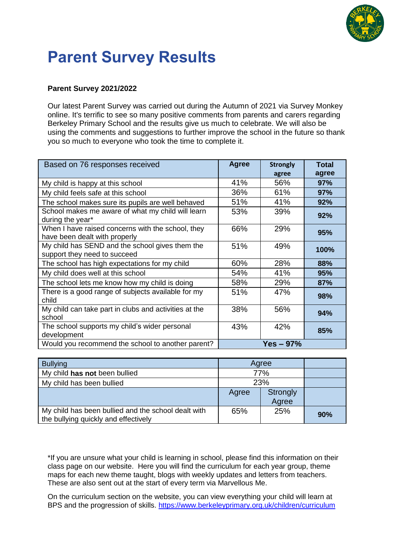

# **Parent Survey Results**

#### **Parent Survey 2021/2022**

Our latest Parent Survey was carried out during the Autumn of 2021 via Survey Monkey online. It's terrific to see so many positive comments from parents and carers regarding Berkeley Primary School and the results give us much to celebrate. We will also be using the comments and suggestions to further improve the school in the future so thank you so much to everyone who took the time to complete it.

| Based on 76 responses received                                                     | <b>Agree</b> | <b>Strongly</b><br>agree | <b>Total</b><br>agree |
|------------------------------------------------------------------------------------|--------------|--------------------------|-----------------------|
| My child is happy at this school                                                   | 41%          | 56%                      | 97%                   |
| My child feels safe at this school                                                 | 36%          | 61%                      | 97%                   |
| The school makes sure its pupils are well behaved                                  | 51%          | 41%                      | 92%                   |
| School makes me aware of what my child will learn<br>during the year*              | 53%          | 39%                      | 92%                   |
| When I have raised concerns with the school, they<br>have been dealt with properly | 66%          | 29%                      | 95%                   |
| My child has SEND and the school gives them the<br>support they need to succeed    | 51%          | 49%                      | 100%                  |
| The school has high expectations for my child                                      | 60%          | 28%                      | 88%                   |
| My child does well at this school                                                  | 54%          | 41%                      | 95%                   |
| The school lets me know how my child is doing                                      | 58%          | 29%                      | 87%                   |
| There is a good range of subjects available for my<br>child                        | 51%          | 47%                      | 98%                   |
| My child can take part in clubs and activities at the<br>school                    | 38%          | 56%                      | 94%                   |
| The school supports my child's wider personal<br>development                       | 43%          | 42%                      | 85%                   |
| Would you recommend the school to another parent?                                  |              | $Yes - 97%$              |                       |

| <b>Bullying</b>                                                                             | Agree |                          |     |
|---------------------------------------------------------------------------------------------|-------|--------------------------|-----|
| My child has not been bullied                                                               | 77%   |                          |     |
| My child has been bullied                                                                   | 23%   |                          |     |
|                                                                                             | Agree | <b>Strongly</b><br>Agree |     |
| My child has been bullied and the school dealt with<br>the bullying quickly and effectively | 65%   | 25%                      | 90% |

\*If you are unsure what your child is learning in school, please find this information on their class page on our website. Here you will find the curriculum for each year group, theme maps for each new theme taught, blogs with weekly updates and letters from teachers. These are also sent out at the start of every term via Marvellous Me.

On the curriculum section on the website, you can view everything your child will learn at BPS and the progression of skills. <https://www.berkeleyprimary.org.uk/children/curriculum>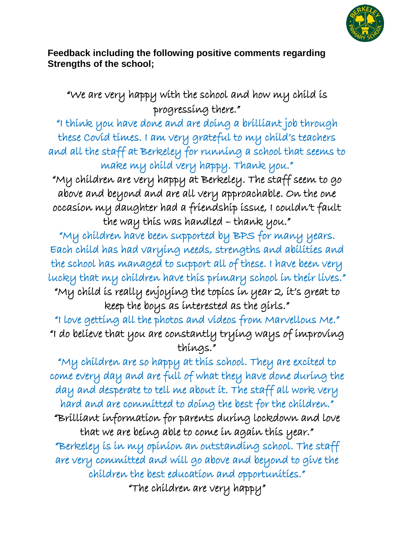

### **Feedback including the following positive comments regarding Strengths of the school;**

"We are very happy with the school and how my child is progressing there."

"I think you have done and are doing a brilliant job through these Covid times. I am very grateful to my child's teachers and all the staff at Berkeley for running a school that seems to make my child very happy. Thank you."

"My children are very happy at Berkeley. The staff seem to go above and beyond and are all very approachable. On the one occasion my daughter had a friendship issue, I couldn't fault the way this was handled - thank you."

"My children have been supported by BPS for many years. Each child has had varying needs, strengths and abilities and the school has managed to support all of these. I have been very lucky that my children have this primary school in their lives." "My child is really enjoying the topics in year 2, it's great to keep the boys as interested as the girls."

"I love getting all the photos and videos from Marvellous Me." "I do believe that you are constantly trying ways of improving things."

"My children are so happy at this school. They are excited to come every day and are full of what they have done during the day and desperate to tell me about it. The staff all work very hard and are committed to doing the best for the children." "Brilliant information for parents during lockdown and love that we are being able to come in again this year." "Berkeley is in my opinion an outstanding school. The staff are very committed and will go above and beyond to give the children the best education and opportunities." "The children are very happy"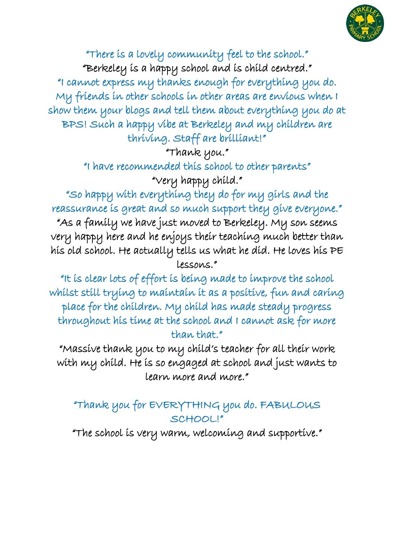

"There is a lovely community feel to the school." "Berkeley is a happy school and is child centred." "I cannot express my thanks enough for everything you do. My friends in other schools in other areas are envious when I show them your blogs and tell them about everything you do at BPS! Such a happy vibe at Berkeley and my children are thriving. Staff are brilliant!"

"Thank you."

"I have recommended this school to other parents" "Very happy child."

"So happy with everything they do for my girls and the reassurance is great and so much support they give everyone." "As a family we have just moved to Berkeley. My son seems very happy here and he enjoys their teaching much better than his old school. He actually tells us what he did. He loves his PE lessons."

"It is clear lots of effort is being made to improve the school whilst still trying to maintain it as a positive, fun and caring place for the children. My child has made steady progress throughout his time at the school and I cannot ask for more than that."

"Massive thank you to my child's teacher for all their work with my child. He is so engaged at school and just wants to learn more and more."

## "Thank you for EVERYTHING you do. FABULOUS SCHOOL!"

"The school is very warm, welcoming and supportive."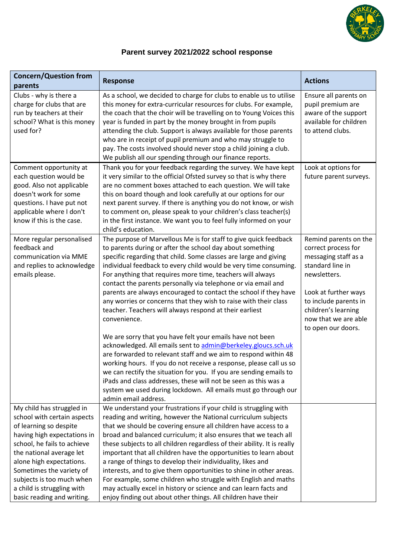

#### **Parent survey 2021/2022 school response**

| <b>Concern/Question from</b>                                                                                                                                                                                                                                                                                                  | <b>Response</b>                                                                                                                                                                                                                                                                                                                                                                                                                                                                                                                                                                                                                                                                                                                                                                                                                                                                                                                                                                                                                                                                                                                   | <b>Actions</b>                                                                                                                                                                                                                 |
|-------------------------------------------------------------------------------------------------------------------------------------------------------------------------------------------------------------------------------------------------------------------------------------------------------------------------------|-----------------------------------------------------------------------------------------------------------------------------------------------------------------------------------------------------------------------------------------------------------------------------------------------------------------------------------------------------------------------------------------------------------------------------------------------------------------------------------------------------------------------------------------------------------------------------------------------------------------------------------------------------------------------------------------------------------------------------------------------------------------------------------------------------------------------------------------------------------------------------------------------------------------------------------------------------------------------------------------------------------------------------------------------------------------------------------------------------------------------------------|--------------------------------------------------------------------------------------------------------------------------------------------------------------------------------------------------------------------------------|
| parents                                                                                                                                                                                                                                                                                                                       |                                                                                                                                                                                                                                                                                                                                                                                                                                                                                                                                                                                                                                                                                                                                                                                                                                                                                                                                                                                                                                                                                                                                   |                                                                                                                                                                                                                                |
| Clubs - why is there a<br>charge for clubs that are<br>run by teachers at their<br>school? What is this money<br>used for?<br>Comment opportunity at<br>each question would be<br>good. Also not applicable<br>doesn't work for some                                                                                          | As a school, we decided to charge for clubs to enable us to utilise<br>this money for extra-curricular resources for clubs. For example,<br>the coach that the choir will be travelling on to Young Voices this<br>year is funded in part by the money brought in from pupils<br>attending the club. Support is always available for those parents<br>who are in receipt of pupil premium and who may struggle to<br>pay. The costs involved should never stop a child joining a club.<br>We publish all our spending through our finance reports.<br>Thank you for your feedback regarding the survey. We have kept<br>it very similar to the official Ofsted survey so that is why there<br>are no comment boxes attached to each question. We will take<br>this on board though and look carefully at our options for our                                                                                                                                                                                                                                                                                                      | Ensure all parents on<br>pupil premium are<br>aware of the support<br>available for children<br>to attend clubs.<br>Look at options for<br>future parent surveys.                                                              |
| questions. I have put not<br>applicable where I don't<br>know if this is the case.                                                                                                                                                                                                                                            | next parent survey. If there is anything you do not know, or wish<br>to comment on, please speak to your children's class teacher(s)<br>in the first instance. We want you to feel fully informed on your<br>child's education.                                                                                                                                                                                                                                                                                                                                                                                                                                                                                                                                                                                                                                                                                                                                                                                                                                                                                                   |                                                                                                                                                                                                                                |
| More regular personalised<br>feedback and<br>communication via MME<br>and replies to acknowledge<br>emails please.                                                                                                                                                                                                            | The purpose of Marvellous Me is for staff to give quick feedback<br>to parents during or after the school day about something<br>specific regarding that child. Some classes are large and giving<br>individual feedback to every child would be very time consuming.<br>For anything that requires more time, teachers will always<br>contact the parents personally via telephone or via email and<br>parents are always encouraged to contact the school if they have<br>any worries or concerns that they wish to raise with their class<br>teacher. Teachers will always respond at their earliest<br>convenience.<br>We are sorry that you have felt your emails have not been<br>acknowledged. All emails sent to admin@berkeley.gloucs.sch.uk<br>are forwarded to relevant staff and we aim to respond within 48<br>working hours. If you do not receive a response, please call us so<br>we can rectify the situation for you. If you are sending emails to<br>iPads and class addresses, these will not be seen as this was a<br>system we used during lockdown. All emails must go through our<br>admin email address. | Remind parents on the<br>correct process for<br>messaging staff as a<br>standard line in<br>newsletters.<br>Look at further ways<br>to include parents in<br>children's learning<br>now that we are able<br>to open our doors. |
| My child has struggled in<br>school with certain aspects<br>of learning so despite<br>having high expectations in<br>school, he fails to achieve<br>the national average let<br>alone high expectations.<br>Sometimes the variety of<br>subjects is too much when<br>a child is struggling with<br>basic reading and writing. | We understand your frustrations if your child is struggling with<br>reading and writing, however the National curriculum subjects<br>that we should be covering ensure all children have access to a<br>broad and balanced curriculum; it also ensures that we teach all<br>these subjects to all children regardless of their ability. It is really<br>important that all children have the opportunities to learn about<br>a range of things to develop their individuality, likes and<br>interests, and to give them opportunities to shine in other areas.<br>For example, some children who struggle with English and maths<br>may actually excel in history or science and can learn facts and<br>enjoy finding out about other things. All children have their                                                                                                                                                                                                                                                                                                                                                             |                                                                                                                                                                                                                                |